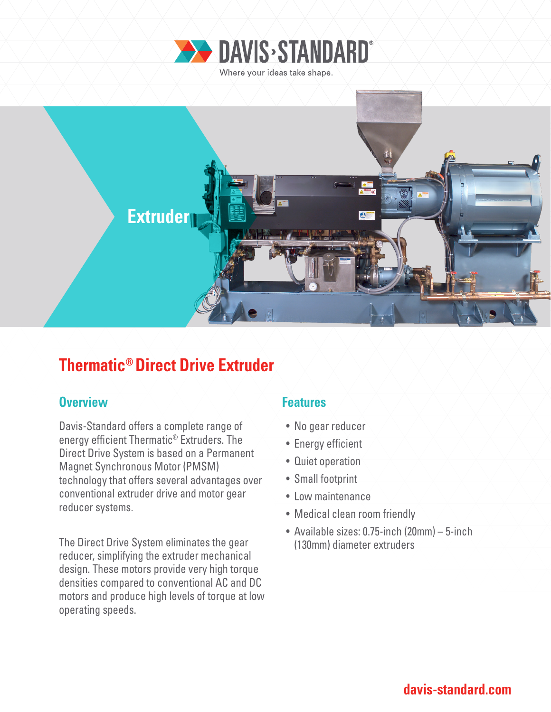



# **Thermatic® Direct Drive Extruder**

### **Overview Allen Accord Accord Features**

Davis-Standard offers a complete range of energy efficient Thermatic® Extruders. The Direct Drive System is based on a Permanent Magnet Synchronous Motor (PMSM) technology that offers several advantages over conventional extruder drive and motor gear reducer systems.

The Direct Drive System eliminates the gear reducer, simplifying the extruder mechanical design. These motors provide very high torque densities compared to conventional AC and DC motors and produce high levels of torque at low operating speeds.

- No gear reducer
- Energy efficient
- Quiet operation
- Small footprint
- Low maintenance
- Medical clean room friendly
- Available sizes: 0.75-inch (20mm) 5-inch (130mm) diameter extruders

## **davis-standard.com**